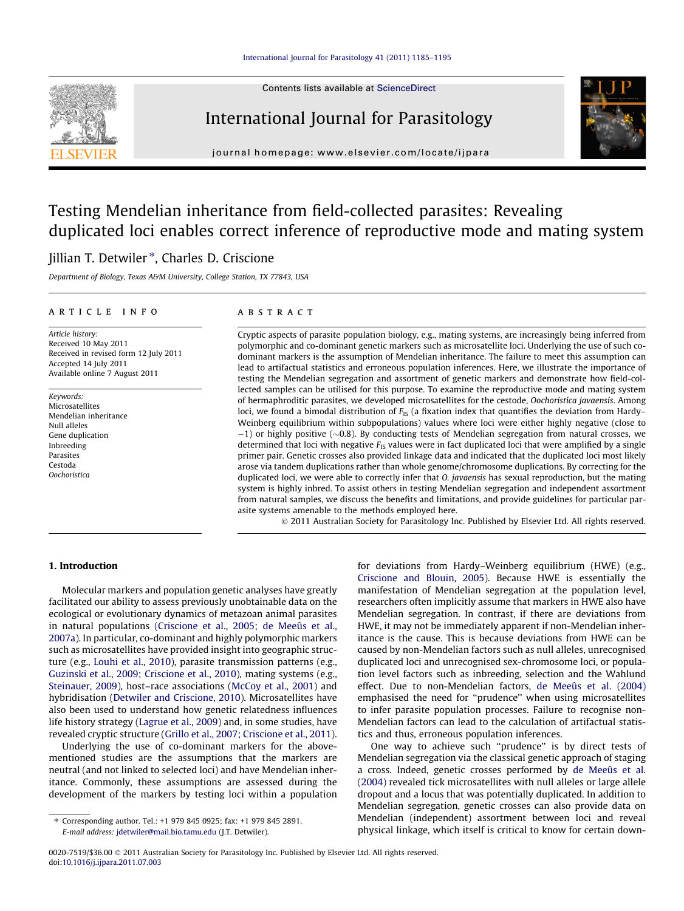

Contents lists available at [ScienceDirect](http://www.sciencedirect.com/science/journal/00207519)

## International Journal for Parasitology



journal homepage: [www.elsevier.com/locate/ijpara](http://www.elsevier.com/locate/ijpara)

# Testing Mendelian inheritance from field-collected parasites: Revealing duplicated loci enables correct inference of reproductive mode and mating system

## Jillian T. Detwiler \*, Charles D. Criscione

Department of Biology, Texas A&M University, College Station, TX 77843, USA

#### article info

Article history: Received 10 May 2011 Received in revised form 12 July 2011 Accepted 14 July 2011 Available online 7 August 2011

Keywords: **Microsatellites** Mendelian inheritance Null alleles Gene duplication Inbreeding Parasites Cestoda **Oochoristica** 

#### **ABSTRACT**

Cryptic aspects of parasite population biology, e.g., mating systems, are increasingly being inferred from polymorphic and co-dominant genetic markers such as microsatellite loci. Underlying the use of such codominant markers is the assumption of Mendelian inheritance. The failure to meet this assumption can lead to artifactual statistics and erroneous population inferences. Here, we illustrate the importance of testing the Mendelian segregation and assortment of genetic markers and demonstrate how field-collected samples can be utilised for this purpose. To examine the reproductive mode and mating system of hermaphroditic parasites, we developed microsatellites for the cestode, Oochoristica javaensis. Among loci, we found a bimodal distribution of  $F_{IS}$  (a fixation index that quantifies the deviation from Hardy– Weinberg equilibrium within subpopulations) values where loci were either highly negative (close to  $-1$ ) or highly positive ( $\sim$ 0.8). By conducting tests of Mendelian segregation from natural crosses, we determined that loci with negative  $F_{IS}$  values were in fact duplicated loci that were amplified by a single primer pair. Genetic crosses also provided linkage data and indicated that the duplicated loci most likely arose via tandem duplications rather than whole genome/chromosome duplications. By correcting for the duplicated loci, we were able to correctly infer that *O. javaensis* has sexual reproduction, but the mating system is highly inbred. To assist others in testing Mendelian segregation and independent assortment from natural samples, we discuss the benefits and limitations, and provide guidelines for particular parasite systems amenable to the methods employed here.

- 2011 Australian Society for Parasitology Inc. Published by Elsevier Ltd. All rights reserved.

#### 1. Introduction

Molecular markers and population genetic analyses have greatly facilitated our ability to assess previously unobtainable data on the ecological or evolutionary dynamics of metazoan animal parasites in natural populations ([Criscione et al., 2005; de Meeûs et al.,](#page-10-0) [2007a\)](#page-10-0). In particular, co-dominant and highly polymorphic markers such as microsatellites have provided insight into geographic structure (e.g., [Louhi et al., 2010\)](#page-10-0), parasite transmission patterns (e.g., [Guzinski et al., 2009; Criscione et al., 2010\)](#page-10-0), mating systems (e.g., [Steinauer, 2009](#page-10-0)), host–race associations ([McCoy et al., 2001](#page-10-0)) and hybridisation ([Detwiler and Criscione, 2010](#page-10-0)). Microsatellites have also been used to understand how genetic relatedness influences life history strategy [\(Lagrue et al., 2009\)](#page-10-0) and, in some studies, have revealed cryptic structure ([Grillo et al., 2007; Criscione et al., 2011\)](#page-10-0).

Underlying the use of co-dominant markers for the abovementioned studies are the assumptions that the markers are neutral (and not linked to selected loci) and have Mendelian inheritance. Commonly, these assumptions are assessed during the development of the markers by testing loci within a population for deviations from Hardy–Weinberg equilibrium (HWE) (e.g., [Criscione and Blouin, 2005\)](#page-10-0). Because HWE is essentially the manifestation of Mendelian segregation at the population level, researchers often implicitly assume that markers in HWE also have Mendelian segregation. In contrast, if there are deviations from HWE, it may not be immediately apparent if non-Mendelian inheritance is the cause. This is because deviations from HWE can be caused by non-Mendelian factors such as null alleles, unrecognised duplicated loci and unrecognised sex-chromosome loci, or population level factors such as inbreeding, selection and the Wahlund effect. Due to non-Mendelian factors, [de Meeûs et al. \(2004\)](#page-10-0) emphasised the need for ''prudence'' when using microsatellites to infer parasite population processes. Failure to recognise non-Mendelian factors can lead to the calculation of artifactual statistics and thus, erroneous population inferences.

One way to achieve such ''prudence'' is by direct tests of Mendelian segregation via the classical genetic approach of staging a cross. Indeed, genetic crosses performed by [de Meeûs et al.](#page-10-0) [\(2004\)](#page-10-0) revealed tick microsatellites with null alleles or large allele dropout and a locus that was potentially duplicated. In addition to Mendelian segregation, genetic crosses can also provide data on Mendelian (independent) assortment between loci and reveal physical linkage, which itself is critical to know for certain down-

<sup>⇑</sup> Corresponding author. Tel.: +1 979 845 0925; fax: +1 979 845 2891. E-mail address: [jdetwiler@mail.bio.tamu.edu](mailto:jdetwiler@mail.bio.tamu.edu) (J.T. Detwiler).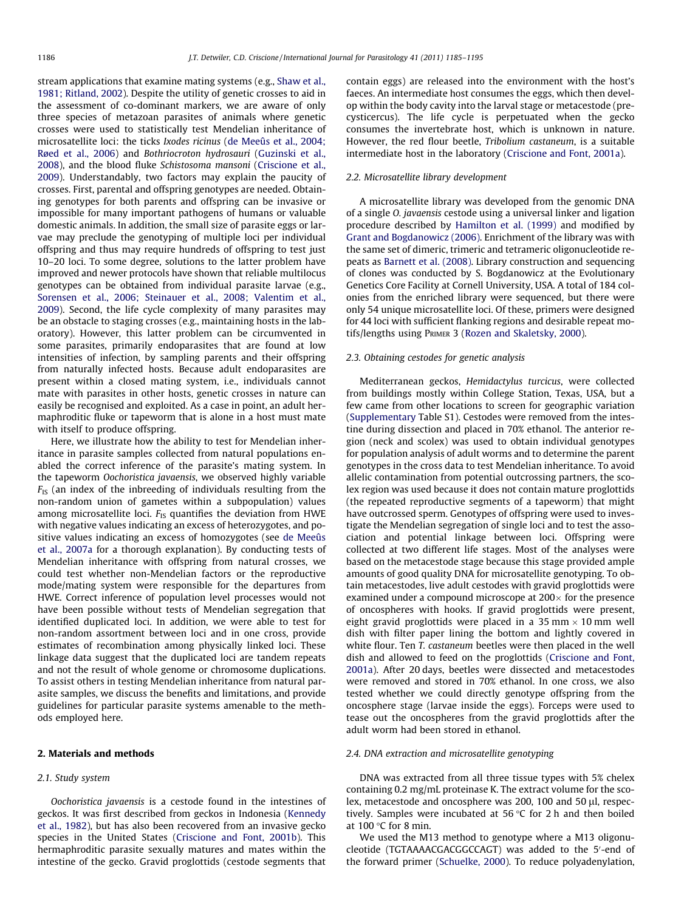<span id="page-1-0"></span>stream applications that examine mating systems (e.g., [Shaw et al.,](#page-10-0) [1981; Ritland, 2002\)](#page-10-0). Despite the utility of genetic crosses to aid in the assessment of co-dominant markers, we are aware of only three species of metazoan parasites of animals where genetic crosses were used to statistically test Mendelian inheritance of microsatellite loci: the ticks Ixodes ricinus [\(de Meeûs et al., 2004;](#page-10-0) [Røed et al., 2006](#page-10-0)) and Bothriocroton hydrosauri ([Guzinski et al.,](#page-10-0) [2008\)](#page-10-0), and the blood fluke Schistosoma mansoni ([Criscione et al.,](#page-10-0) [2009\)](#page-10-0). Understandably, two factors may explain the paucity of crosses. First, parental and offspring genotypes are needed. Obtaining genotypes for both parents and offspring can be invasive or impossible for many important pathogens of humans or valuable domestic animals. In addition, the small size of parasite eggs or larvae may preclude the genotyping of multiple loci per individual offspring and thus may require hundreds of offspring to test just 10–20 loci. To some degree, solutions to the latter problem have improved and newer protocols have shown that reliable multilocus genotypes can be obtained from individual parasite larvae (e.g., [Sorensen et al., 2006; Steinauer et al., 2008; Valentim et al.,](#page-10-0) [2009\)](#page-10-0). Second, the life cycle complexity of many parasites may be an obstacle to staging crosses (e.g., maintaining hosts in the laboratory). However, this latter problem can be circumvented in some parasites, primarily endoparasites that are found at low intensities of infection, by sampling parents and their offspring from naturally infected hosts. Because adult endoparasites are present within a closed mating system, i.e., individuals cannot mate with parasites in other hosts, genetic crosses in nature can easily be recognised and exploited. As a case in point, an adult hermaphroditic fluke or tapeworm that is alone in a host must mate with itself to produce offspring.

Here, we illustrate how the ability to test for Mendelian inheritance in parasite samples collected from natural populations enabled the correct inference of the parasite's mating system. In the tapeworm Oochoristica javaensis, we observed highly variable  $F_{IS}$  (an index of the inbreeding of individuals resulting from the non-random union of gametes within a subpopulation) values among microsatellite loci.  $F_{IS}$  quantifies the deviation from HWE with negative values indicating an excess of heterozygotes, and positive values indicating an excess of homozygotes (see [de Meeûs](#page-10-0) [et al., 2007a](#page-10-0) for a thorough explanation). By conducting tests of Mendelian inheritance with offspring from natural crosses, we could test whether non-Mendelian factors or the reproductive mode/mating system were responsible for the departures from HWE. Correct inference of population level processes would not have been possible without tests of Mendelian segregation that identified duplicated loci. In addition, we were able to test for non-random assortment between loci and in one cross, provide estimates of recombination among physically linked loci. These linkage data suggest that the duplicated loci are tandem repeats and not the result of whole genome or chromosome duplications. To assist others in testing Mendelian inheritance from natural parasite samples, we discuss the benefits and limitations, and provide guidelines for particular parasite systems amenable to the methods employed here.

#### 2. Materials and methods

#### 2.1. Study system

Oochoristica javaensis is a cestode found in the intestines of geckos. It was first described from geckos in Indonesia ([Kennedy](#page-10-0) [et al., 1982\)](#page-10-0), but has also been recovered from an invasive gecko species in the United States ([Criscione and Font, 2001b\)](#page-10-0). This hermaphroditic parasite sexually matures and mates within the intestine of the gecko. Gravid proglottids (cestode segments that contain eggs) are released into the environment with the host's faeces. An intermediate host consumes the eggs, which then develop within the body cavity into the larval stage or metacestode (precysticercus). The life cycle is perpetuated when the gecko consumes the invertebrate host, which is unknown in nature. However, the red flour beetle, Tribolium castaneum, is a suitable intermediate host in the laboratory ([Criscione and Font, 2001a](#page-10-0)).

#### 2.2. Microsatellite library development

A microsatellite library was developed from the genomic DNA of a single O. javaensis cestode using a universal linker and ligation procedure described by [Hamilton et al. \(1999\)](#page-10-0) and modified by [Grant and Bogdanowicz \(2006\).](#page-10-0) Enrichment of the library was with the same set of dimeric, trimeric and tetrameric oligonucleotide repeats as [Barnett et al. \(2008\)](#page-10-0). Library construction and sequencing of clones was conducted by S. Bogdanowicz at the Evolutionary Genetics Core Facility at Cornell University, USA. A total of 184 colonies from the enriched library were sequenced, but there were only 54 unique microsatellite loci. Of these, primers were designed for 44 loci with sufficient flanking regions and desirable repeat motifs/lengths using PRIMER 3 [\(Rozen and Skaletsky, 2000](#page-10-0)).

#### 2.3. Obtaining cestodes for genetic analysis

Mediterranean geckos, Hemidactylus turcicus, were collected from buildings mostly within College Station, Texas, USA, but a few came from other locations to screen for geographic variation (Supplementary Table S1). Cestodes were removed from the intestine during dissection and placed in 70% ethanol. The anterior region (neck and scolex) was used to obtain individual genotypes for population analysis of adult worms and to determine the parent genotypes in the cross data to test Mendelian inheritance. To avoid allelic contamination from potential outcrossing partners, the scolex region was used because it does not contain mature proglottids (the repeated reproductive segments of a tapeworm) that might have outcrossed sperm. Genotypes of offspring were used to investigate the Mendelian segregation of single loci and to test the association and potential linkage between loci. Offspring were collected at two different life stages. Most of the analyses were based on the metacestode stage because this stage provided ample amounts of good quality DNA for microsatellite genotyping. To obtain metacestodes, live adult cestodes with gravid proglottids were examined under a compound microscope at  $200 \times$  for the presence of oncospheres with hooks. If gravid proglottids were present, eight gravid proglottids were placed in a 35 mm  $\times$  10 mm well dish with filter paper lining the bottom and lightly covered in white flour. Ten T. castaneum beetles were then placed in the well dish and allowed to feed on the proglottids ([Criscione and Font,](#page-10-0) [2001a\)](#page-10-0). After 20 days, beetles were dissected and metacestodes were removed and stored in 70% ethanol. In one cross, we also tested whether we could directly genotype offspring from the oncosphere stage (larvae inside the eggs). Forceps were used to tease out the oncospheres from the gravid proglottids after the adult worm had been stored in ethanol.

#### 2.4. DNA extraction and microsatellite genotyping

DNA was extracted from all three tissue types with 5% chelex containing 0.2 mg/mL proteinase K. The extract volume for the scolex, metacestode and oncosphere was 200, 100 and 50 µl, respectively. Samples were incubated at 56  $\degree$ C for 2 h and then boiled at  $100$  °C for 8 min.

We used the M13 method to genotype where a M13 oligonucleotide (TGTAAAACGACGGCCAGT) was added to the 5'-end of the forward primer ([Schuelke, 2000](#page-10-0)). To reduce polyadenylation,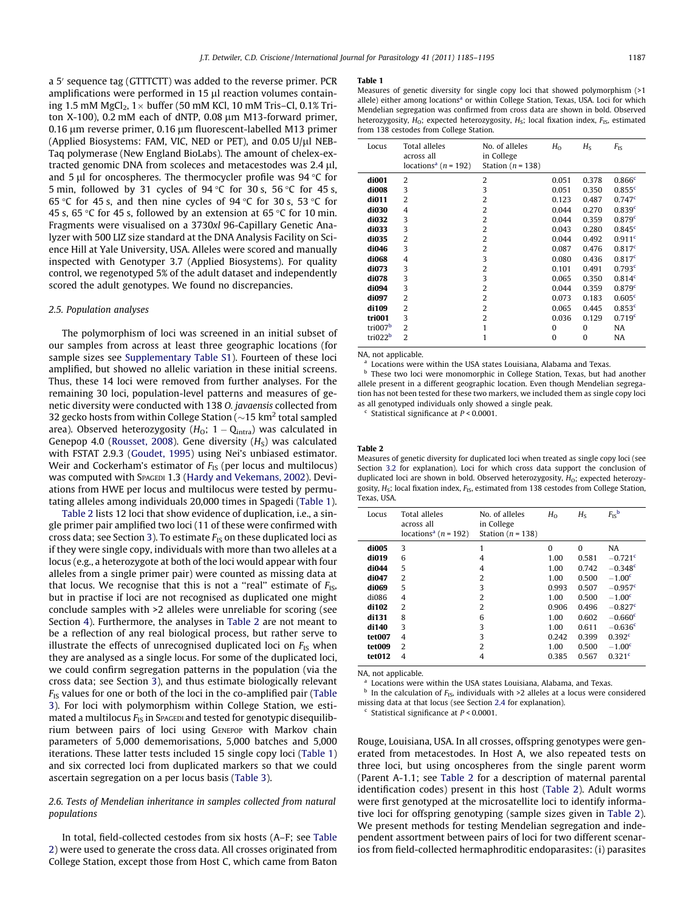<span id="page-2-0"></span>a 5' sequence tag (GTTTCTT) was added to the reverse primer. PCR amplifications were performed in 15 ul reaction volumes containing 1.5 mM MgCl<sub>2</sub>,  $1 \times$  buffer (50 mM KCl, 10 mM Tris–Cl, 0.1% Triton X-100), 0.2 mM each of dNTP, 0.08  $\mu$ m M13-forward primer, 0.16 µm reverse primer, 0.16 µm fluorescent-labelled M13 primer (Applied Biosystems: FAM, VIC, NED or PET), and  $0.05$  U/ $\mu$ l NEB-Taq polymerase (New England BioLabs). The amount of chelex-extracted genomic DNA from scoleces and metacestodes was  $2.4 \mu$ l, and 5  $\mu$ l for oncospheres. The thermocycler profile was 94 °C for 5 min, followed by 31 cycles of  $94^{\circ}$ C for 30 s, 56  $^{\circ}$ C for 45 s, 65 °C for 45 s, and then nine cycles of 94 °C for 30 s, 53 °C for 45 s, 65 °C for 45 s, followed by an extension at 65 °C for 10 min. Fragments were visualised on a 3730xl 96-Capillary Genetic Analyzer with 500 LIZ size standard at the DNA Analysis Facility on Science Hill at Yale University, USA. Alleles were scored and manually inspected with Genotyper 3.7 (Applied Biosystems). For quality control, we regenotyped 5% of the adult dataset and independently scored the adult genotypes. We found no discrepancies.

#### 2.5. Population analyses

The polymorphism of loci was screened in an initial subset of our samples from across at least three geographic locations (for sample sizes see Supplementary Table S1). Fourteen of these loci amplified, but showed no allelic variation in these initial screens. Thus, these 14 loci were removed from further analyses. For the remaining 30 loci, population-level patterns and measures of genetic diversity were conducted with 138 O. javaensis collected from 32 gecko hosts from within College Station ( $\sim$ 15 km<sup>2</sup> total sampled area). Observed heterozygosity ( $H_{\rm O}$ ; 1 – Q $_{\rm intra}$ ) was calculated in Genepop 4.0 [\(Rousset, 2008\)](#page-10-0). Gene diversity  $(H<sub>S</sub>)$  was calculated with FSTAT 2.9.3 [\(Goudet, 1995](#page-10-0)) using Nei's unbiased estimator. Weir and Cockerham's estimator of  $F_{IS}$  (per locus and multilocus) was computed with SPAGEDI 1.3 ([Hardy and Vekemans, 2002](#page-10-0)). Deviations from HWE per locus and multilocus were tested by permutating alleles among individuals 20,000 times in Spagedi (Table 1).

Table 2 lists 12 loci that show evidence of duplication, i.e., a single primer pair amplified two loci (11 of these were confirmed with cross data; see Section [3\)](#page-4-0). To estimate  $F_{IS}$  on these duplicated loci as if they were single copy, individuals with more than two alleles at a locus (e.g., a heterozygote at both of the loci would appear with four alleles from a single primer pair) were counted as missing data at that locus. We recognise that this is not a "real" estimate of  $F_{\text{IS}}$ , but in practise if loci are not recognised as duplicated one might conclude samples with >2 alleles were unreliable for scoring (see Section [4\)](#page-6-0). Furthermore, the analyses in Table 2 are not meant to be a reflection of any real biological process, but rather serve to illustrate the effects of unrecognised duplicated loci on  $F_{IS}$  when they are analysed as a single locus. For some of the duplicated loci, we could confirm segregation patterns in the population (via the cross data; see Section [3\)](#page-4-0), and thus estimate biologically relevant  $F_{IS}$  values for one or both of the loci in the co-amplified pair [\(Table](#page-3-0) [3](#page-3-0)). For loci with polymorphism within College Station, we estimated a multilocus  $F_{IS}$  in Spacepi and tested for genotypic disequilibrium between pairs of loci using GENEPOP with Markov chain parameters of 5,000 dememorisations, 5,000 batches and 5,000 iterations. These latter tests included 15 single copy loci (Table 1) and six corrected loci from duplicated markers so that we could ascertain segregation on a per locus basis ([Table 3](#page-3-0)).

## 2.6. Tests of Mendelian inheritance in samples collected from natural populations

In total, field-collected cestodes from six hosts (A–F; see Table 2) were used to generate the cross data. All crosses originated from College Station, except those from Host C, which came from Baton

#### Table 1

Measures of genetic diversity for single copy loci that showed polymorphism (>1 allele) either among locations<sup>a</sup> or within College Station, Texas, USA. Loci for which Mendelian segregation was confirmed from cross data are shown in bold. Observed heterozygosity,  $H_0$ ; expected heterozygosity,  $H_S$ ; local fixation index,  $F_{IS}$ , estimated from 138 cestodes from College Station.

| Locus               | Total alleles<br>across all<br>locations <sup>a</sup> ( $n = 192$ ) | No. of alleles<br>in College<br>Station ( $n = 138$ ) | $H_{\Omega}$ | $H_{S}$  | $F_{1S}$           |
|---------------------|---------------------------------------------------------------------|-------------------------------------------------------|--------------|----------|--------------------|
| di001               | 2                                                                   | $\overline{2}$                                        | 0.051        | 0.378    | 0.866c             |
| di008               | 3                                                                   | 3                                                     | 0.051        | 0.350    | 0.855c             |
| di011               | $\overline{2}$                                                      | 2                                                     | 0.123        | 0.487    | 0.747c             |
| di030               | 4                                                                   | 2                                                     | 0.044        | 0.270    | 0.839 <sup>c</sup> |
| di032               | 3                                                                   | $\overline{2}$                                        | 0.044        | 0.359    | 0.879 <sup>c</sup> |
| di033               | 3                                                                   | $\overline{2}$                                        | 0.043        | 0.280    | 0.845 <sup>c</sup> |
| di035               | $\overline{2}$                                                      | $\overline{2}$                                        | 0.044        | 0.492    | 0.911 <sup>c</sup> |
| di046               | 3                                                                   | 2                                                     | 0.087        | 0.476    | 0.817 <sup>c</sup> |
| di068               | 4                                                                   | 3                                                     | 0.080        | 0.436    | 0.817c             |
| di073               | 3                                                                   | $\overline{2}$                                        | 0.101        | 0.491    | 0.793c             |
| di078               | 3                                                                   | 3                                                     | 0.065        | 0.350    | 0.814 <sup>c</sup> |
| di094               | 3                                                                   | $\overline{2}$                                        | 0.044        | 0.359    | 0.879 <sup>c</sup> |
| di097               | 2                                                                   | 2                                                     | 0.073        | 0.183    | 0.605 <sup>c</sup> |
| di109               | $\overline{2}$                                                      | 2                                                     | 0.065        | 0.445    | 0.853c             |
| tri001              | 3                                                                   | $\overline{2}$                                        | 0.036        | 0.129    | 0.719 <sup>c</sup> |
| tri007 <sup>b</sup> | $\overline{2}$                                                      | 1                                                     | $\Omega$     | $\Omega$ | NA                 |
| tri022 <sup>b</sup> | $\overline{2}$                                                      |                                                       | $\theta$     | $\Omega$ | NA                 |

NA, not applicable.

Locations were within the USA states Louisiana, Alabama and Texas.

**b** These two loci were monomorphic in College Station, Texas, but had another allele present in a different geographic location. Even though Mendelian segregation has not been tested for these two markers, we included them as single copy loci as all genotyped individuals only showed a single peak.

Statistical significance at  $P < 0.0001$ .

#### Table 2

Measures of genetic diversity for duplicated loci when treated as single copy loci (see Section [3.2](#page-5-0) for explanation). Loci for which cross data support the conclusion of duplicated loci are shown in bold. Observed heterozygosity,  $H_0$ ; expected heterozygosity,  $H_S$ ; local fixation index,  $F_{IS}$ , estimated from 138 cestodes from College Station, Texas, USA.

| Locus  | Total alleles<br>across all<br>locations <sup>a</sup> ( $n = 192$ ) | No. of alleles<br>in College<br>Station ( $n = 138$ ) | $H_{\Omega}$ | $H_{S}$  | $F_{\rm IS}{}^{\rm b}$ |
|--------|---------------------------------------------------------------------|-------------------------------------------------------|--------------|----------|------------------------|
| di005  | 3                                                                   | 1                                                     | $\Omega$     | $\Omega$ | <b>NA</b>              |
| di019  | 6                                                                   | 4                                                     | 1.00         | 0.581    | $-0.721$ <sup>c</sup>  |
| di044  | 5                                                                   | 4                                                     | 1.00         | 0.742    | $-0.348$ <sup>c</sup>  |
| di047  | $\overline{2}$                                                      | $\overline{2}$                                        | 1.00         | 0.500    | $-1.00c$               |
| di069  | 5                                                                   | 3                                                     | 0.993        | 0.507    | $-0.957$ <sup>c</sup>  |
| di086  | 4                                                                   | $\overline{2}$                                        | 1.00         | 0.500    | $-1.00c$               |
| di102  | $\overline{2}$                                                      | $\overline{2}$                                        | 0.906        | 0.496    | $-0.827c$              |
| di131  | 8                                                                   | 6                                                     | 1.00         | 0.602    | $-0.660c$              |
| di140  | 3                                                                   | 3                                                     | 1.00         | 0.611    | $-0.636c$              |
| tet007 | $\overline{4}$                                                      | 3                                                     | 0.242        | 0.399    | 0.392 <sup>c</sup>     |
| tet009 | $\overline{2}$                                                      | $\overline{2}$                                        | 1.00         | 0.500    | $-1.00c$               |
| tet012 | 4                                                                   | 4                                                     | 0.385        | 0.567    | 0.321 <sup>c</sup>     |

NA, not applicable.

<sup>a</sup> Locations were within the USA states Louisiana, Alabama, and Texas.

 $<sup>b</sup>$  In the calculation of  $F_{IS}$ , individuals with >2 alleles at a locus were considered</sup> missing data at that locus (see Section [2.4](#page-1-0) for explanation).

 $c$  Statistical significance at  $P < 0.0001$ .

Rouge, Louisiana, USA. In all crosses, offspring genotypes were generated from metacestodes. In Host A, we also repeated tests on three loci, but using oncospheres from the single parent worm (Parent A-1.1; see Table 2 for a description of maternal parental identification codes) present in this host (Table 2). Adult worms were first genotyped at the microsatellite loci to identify informative loci for offspring genotyping (sample sizes given in Table 2). We present methods for testing Mendelian segregation and independent assortment between pairs of loci for two different scenarios from field-collected hermaphroditic endoparasites: (i) parasites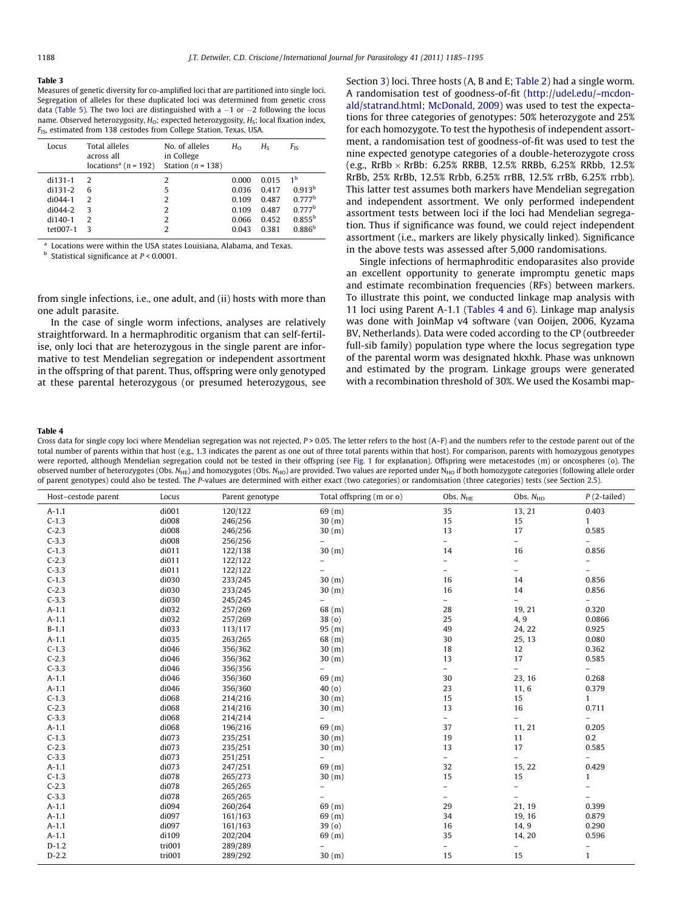<span id="page-3-0"></span>Measures of genetic diversity for co-amplified loci that are partitioned into single loci. Segregation of alleles for these duplicated loci was determined from genetic cross data [\(Table 5\)](#page-4-0). The two loci are distinguished with a  $-1$  or  $-2$  following the locus name. Observed heterozygosity,  $H_0$ ; expected heterozygosity,  $H_S$ ; local fixation index,  $F_{IS}$ , estimated from 138 cestodes from College Station, Texas, USA.

| Locus     | Total alleles<br>across all<br>locations <sup>a</sup> ( $n = 192$ ) | No. of alleles<br>in College<br>Station ( $n = 138$ ) | $H_{\Omega}$ | $H_{S}$ | $F_{\rm IS}$       |
|-----------|---------------------------------------------------------------------|-------------------------------------------------------|--------------|---------|--------------------|
| $di131-1$ | $\mathcal{P}$                                                       | 2                                                     | 0.000        | 0.015   | 1 <sup>b</sup>     |
| $di131-2$ | 6                                                                   | 5                                                     | 0.036        | 0.417   | 0.913 <sup>b</sup> |
| $di044-1$ | っ                                                                   | 2                                                     | 0.109        | 0.487   | 0.777 <sup>b</sup> |
| $di044-2$ | 3                                                                   | 2                                                     | 0.109        | 0.487   | 0.777 <sup>b</sup> |
| $di140-1$ | っ                                                                   | 2                                                     | 0.066        | 0.452   | $0.855^{b}$        |
| tet007-1  | ς                                                                   | 2                                                     | 0.043        | 0.381   | 0.886 <sup>b</sup> |
|           |                                                                     |                                                       |              |         |                    |

<sup>a</sup> Locations were within the USA states Louisiana, Alabama, and Texas.

 $<sup>b</sup>$  Statistical significance at  $P < 0.0001$ .</sup>

from single infections, i.e., one adult, and (ii) hosts with more than one adult parasite.

In the case of single worm infections, analyses are relatively straightforward. In a hermaphroditic organism that can self-fertilise, only loci that are heterozygous in the single parent are informative to test Mendelian segregation or independent assortment in the offspring of that parent. Thus, offspring were only genotyped at these parental heterozygous (or presumed heterozygous, see

Section [3](#page-4-0)) loci. Three hosts (A, B and E; [Table 2](#page-2-0)) had a single worm. A randomisation test of goodness-of-fit [\(http://udel.edu/~mcdon](http://udel.edu/~mcdonald/statrand.html)[ald/statrand.html;](http://udel.edu/~mcdonald/statrand.html) [McDonald, 2009](#page-10-0)) was used to test the expectations for three categories of genotypes: 50% heterozygote and 25% for each homozygote. To test the hypothesis of independent assortment, a randomisation test of goodness-of-fit was used to test the nine expected genotype categories of a double-heterozygote cross (e.g., RrBb  $\times$  RrBb: 6.25% RRBB, 12.5% RRBb, 6.25% RRbb, 12.5% RrBb, 25% RrBb, 12.5% Rrbb, 6.25% rrBB, 12.5% rrBb, 6.25% rrbb). This latter test assumes both markers have Mendelian segregation and independent assortment. We only performed independent assortment tests between loci if the loci had Mendelian segregation. Thus if significance was found, we could reject independent assortment (i.e., markers are likely physically linked). Significance in the above tests was assessed after 5,000 randomisations.

Single infections of hermaphroditic endoparasites also provide an excellent opportunity to generate impromptu genetic maps and estimate recombination frequencies (RFs) between markers. To illustrate this point, we conducted linkage map analysis with 11 loci using Parent A-1.1 (Tables 4 and 6). Linkage map analysis was done with JoinMap v4 software (van Ooijen, 2006, Kyzama BV, Netherlands). Data were coded according to the CP (outbreeder full-sib family) population type where the locus segregation type of the parental worm was designated hkxhk. Phase was unknown and estimated by the program. Linkage groups were generated with a recombination threshold of 30%. We used the Kosambi map-

#### Table 4

Cross data for single copy loci where Mendelian segregation was not rejected,  $P > 0.05$ . The letter refers to the host  $(A-F)$  and the numbers refer to the cestode parent out of the total number of parents within that host (e.g., 1.3 indicates the parent as one out of three total parents within that host). For comparison, parents with homozygous genotypes were reported, although Mendelian segregation could not be tested in their offspring (see [Fig. 1](#page-6-0) for explanation). Offspring were metacestodes (m) or oncospheres (o). The observed number of heterozygotes (Obs.  $N_{HE}$ ) and homozygotes (Obs.  $N_{HO}$ ) are provided. Two values are reported under  $N_{HO}$  if both homozygote categories (following allele order of parent genotypes) could also be tested. The P-values are determined with either exact (two categories) or randomisation (three categories) tests (see Section [2.5](#page-2-0)).

| Host-cestode parent | Locus  | Parent genotype | Total offspring (m or o) | Obs. $N_{\text{HE}}$     | Obs. $N_{HO}$            | $P(2$ -tailed)           |
|---------------------|--------|-----------------|--------------------------|--------------------------|--------------------------|--------------------------|
| $A-1.1$             | di001  | 120/122         | 69(m)                    | 35                       | 13, 21                   | 0.403                    |
| $C-1.3$             | di008  | 246/256         | 30 (m)                   | 15                       | 15                       | $\mathbf{1}$             |
| $C-2.3$             | di008  | 246/256         | 30 (m)                   | 13                       | 17                       | 0.585                    |
| $C-3.3$             | di008  | 256/256         | $\overline{\phantom{0}}$ | $\overline{\phantom{0}}$ | $\equiv$                 | $\equiv$                 |
| $C-1.3$             | di011  | 122/138         | 30 (m)                   | 14                       | 16                       | 0.856                    |
| $C-2.3$             | di011  | 122/122         | $\overline{\phantom{0}}$ | $\overline{\phantom{0}}$ | $\qquad \qquad =$        | $\overline{\phantom{a}}$ |
| $C-3.3$             | di011  | 122/122         |                          | $\overline{\phantom{0}}$ | $\overline{\phantom{a}}$ | $\overline{\phantom{0}}$ |
| $C-1.3$             | di030  | 233/245         | 30 (m)                   | 16                       | 14                       | 0.856                    |
| $C-2.3$             | di030  | 233/245         | 30 (m)                   | 16                       | 14                       | 0.856                    |
| $C-3.3$             | di030  | 245/245         | $\overline{\phantom{a}}$ | $\overline{\phantom{0}}$ | $\overline{\phantom{a}}$ | $\equiv$                 |
| $A-1.1$             | di032  | 257/269         | 68(m)                    | 28                       | 19, 21                   | 0.320                    |
| $A-1.1$             | di032  | 257/269         | 38(0)                    | 25                       | 4, 9                     | 0.0866                   |
| $B-1.1$             | di033  | 113/117         | 95 (m)                   | 49                       | 24, 22                   | 0.925                    |
| $A-1.1$             | di035  | 263/265         | 68(m)                    | 30                       | 25, 13                   | 0.080                    |
| $C-1.3$             | di046  | 356/362         | 30(m)                    | 18                       | 12                       | 0.362                    |
| $C-2.3$             | di046  | 356/362         | 30(m)                    | 13                       | 17                       | 0.585                    |
| $C-3.3$             | di046  | 356/356         | $\overline{a}$           | $\overline{\phantom{0}}$ | $\equiv$                 | $-$                      |
| $A-1.1$             | di046  | 356/360         | 69(m)                    | 30                       | 23, 16                   | 0.268                    |
| $A-1.1$             | di046  | 356/360         | 40(0)                    | 23                       | 11, 6                    | 0.379                    |
| $C-1.3$             | di068  | 214/216         | 30 (m)                   | 15                       | 15                       | $\mathbf{1}$             |
| $C-2.3$             | di068  | 214/216         | 30(m)                    | 13                       | 16                       | 0.711                    |
| $C-3.3$             | di068  | 214/214         | $\overline{\phantom{0}}$ | $\overline{\phantom{0}}$ | $\overline{\phantom{0}}$ | $\overline{\phantom{0}}$ |
| $A-1.1$             | di068  | 196/216         | 69(m)                    | 37                       | 11, 21                   | 0.205                    |
| $C-1.3$             | di073  | 235/251         | 30 (m)                   | 19                       | 11                       | 0.2                      |
| $C-2.3$             | di073  | 235/251         | 30(m)                    | 13                       | 17                       | 0.585                    |
| $C-3.3$             | di073  | 251/251         | $\overline{\phantom{0}}$ | $\overline{a}$           | $\overline{\phantom{a}}$ | $\equiv$                 |
| $A-1.1$             | di073  | 247/251         | 69(m)                    | 32                       | 15, 22                   | 0.429                    |
| $C-1.3$             | di078  | 265/273         | 30 (m)                   | 15                       | 15                       | $\mathbf{1}$             |
| $C-2.3$             | di078  | 265/265         | $\overline{\phantom{0}}$ | -                        | $\overline{\phantom{a}}$ | $\equiv$                 |
| $C-3.3$             | di078  | 265/265         | $\qquad \qquad -$        | $\overline{\phantom{0}}$ | $\overline{\phantom{0}}$ |                          |
| $A-1.1$             | di094  | 260/264         | 69(m)                    | 29                       | 21, 19                   | 0.399                    |
| $A-1.1$             | di097  | 161/163         | 69(m)                    | 34                       | 19, 16                   | 0.879                    |
| $A-1.1$             | di097  | 161/163         | 39(0)                    | 16                       | 14, 9                    | 0.290                    |
| $A-1.1$             | di109  | 202/204         | 69(m)                    | 35                       | 14, 20                   | 0.596                    |
| $D-1.2$             | tri001 | 289/289         | $\overline{a}$           | -                        | $\overline{\phantom{a}}$ | $\qquad \qquad -$        |
| $D-2.2$             | tri001 | 289/292         | 30 (m)                   | 15                       | 15                       | $\mathbf{1}$             |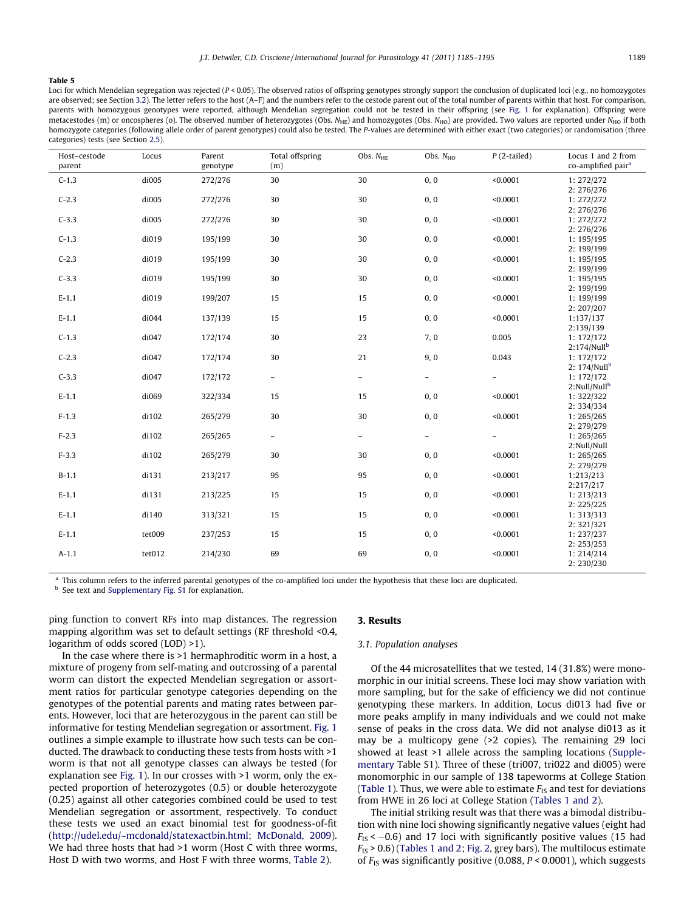<span id="page-4-0"></span>Loci for which Mendelian segregation was rejected (P < 0.05). The observed ratios of offspring genotypes strongly support the conclusion of duplicated loci (e.g., no homozygotes are observed; see Section [3.2](#page-5-0)). The letter refers to the host (A–F) and the numbers refer to the cestode parent out of the total number of parents within that host. For comparison, parents with homozygous genotypes were reported, although Mendelian segregation could not be tested in their offspring (see [Fig. 1](#page-6-0) for explanation). Offspring were metacestodes (m) or oncospheres (o). The observed number of heterozygotes (Obs.  $N_{\text{HE}}$ ) and homozygotes (Obs.  $N_{\text{HO}}$ ) are provided. Two values are reported under  $N_{\text{HO}}$  if both homozygote categories (following allele order of parent genotypes) could also be tested. The P-values are determined with either exact (two categories) or randomisation (three categories) tests (see Section [2.5](#page-2-0)).

| Host-cestode<br>parent | Locus  | Parent<br>genotype | <b>Total offspring</b><br>(m) | Obs. $N_{\text{HE}}$     | Obs. $N_{HO}$            | $P$ (2-tailed)    | Locus 1 and 2 from<br>co-amplified pair <sup>a</sup> |
|------------------------|--------|--------------------|-------------------------------|--------------------------|--------------------------|-------------------|------------------------------------------------------|
| $C-1.3$                | di005  | 272/276            | 30                            | 30                       | 0, 0                     | < 0.0001          | 1: 272/272<br>2: 276/276                             |
| $C-2.3$                | di005  | 272/276            | 30                            | 30                       | 0, 0                     | < 0.0001          | 1: 272/272                                           |
| $C-3.3$                | di005  | 272/276            | 30                            | 30                       | 0, 0                     | < 0.0001          | 2: 276/276<br>1: 272/272                             |
|                        |        |                    |                               |                          |                          |                   | 2: 276/276                                           |
| $C-1.3$                | di019  | 195/199            | 30                            | 30                       | 0, 0                     | < 0.0001          | 1: 195/195                                           |
|                        |        |                    |                               |                          |                          |                   | 2: 199/199                                           |
| $C-2.3$                | di019  | 195/199            | 30                            | 30                       | 0, 0                     | < 0.0001          | 1: 195/195                                           |
|                        |        |                    |                               |                          |                          |                   | 2: 199/199                                           |
| $C-3.3$                | di019  | 195/199            | 30                            | 30                       | 0, 0                     | < 0.0001          | 1: 195/195                                           |
| $E-1.1$                | di019  | 199/207            | 15                            | 15                       | 0, 0                     | < 0.0001          | 2: 199/199                                           |
|                        |        |                    |                               |                          |                          |                   | 1: 199/199<br>2: 207/207                             |
| $E-1.1$                | di044  | 137/139            | 15                            | 15                       | 0, 0                     | < 0.0001          | 1:137/137                                            |
|                        |        |                    |                               |                          |                          |                   | 2:139/139                                            |
| $C-1.3$                | di047  | 172/174            | 30                            | 23                       | 7, 0                     | 0.005             | 1: 172/172                                           |
|                        |        |                    |                               |                          |                          |                   | $2:174/Null^b$                                       |
| $C-2.3$                | di047  | 172/174            | 30                            | 21                       | 9,0                      | 0.043             | 1: 172/172                                           |
|                        |        |                    |                               |                          |                          |                   | 2: $174/Nullb$                                       |
| $C-3.3$                | di047  | 172/172            | $\equiv$                      | $\overline{\phantom{a}}$ | $\overline{\phantom{0}}$ | $\qquad \qquad -$ | 1: 172/172                                           |
|                        |        |                    |                               |                          |                          |                   | 2:Null/Nullb                                         |
| $E-1.1$                | di069  | 322/334            | 15                            | 15                       | 0, 0                     | < 0.0001          | 1: 322/322                                           |
|                        |        |                    |                               |                          |                          |                   | 2: 334/334                                           |
| $F-1.3$                | di102  | 265/279            | $30\,$                        | 30                       | 0, 0                     | < 0.0001          | 1:265/265                                            |
|                        |        |                    |                               |                          |                          |                   | 2: 279/279                                           |
| $F-2.3$                | di102  | 265/265            | $\equiv$                      | $\overline{\phantom{0}}$ | $\equiv$                 | $\qquad \qquad -$ | 1:265/265                                            |
|                        |        |                    |                               |                          |                          |                   | 2:Null/Null                                          |
| $F-3.3$                | di102  | 265/279            | 30                            | 30                       | 0, 0                     | < 0.0001          | 1: 265/265                                           |
|                        |        |                    |                               |                          |                          |                   | 2: 279/279                                           |
| $B-1.1$                | di131  | 213/217            | 95                            | 95                       | 0, 0                     | < 0.0001          | 1:213/213                                            |
|                        |        |                    |                               |                          |                          |                   | 2:217/217                                            |
| $E-1.1$                | di131  | 213/225            | 15                            | 15                       | 0, 0                     | < 0.0001          | 1: 213/213                                           |
|                        |        |                    |                               |                          |                          |                   | 2: 225/225                                           |
| $E-1.1$                | di140  | 313/321            | 15                            | 15                       | 0, 0                     | < 0.0001          | 1: 313/313                                           |
|                        |        |                    |                               |                          |                          |                   | 2: 321/321                                           |
| $E-1.1$                | tet009 | 237/253            | 15                            | 15                       | 0, 0                     | < 0.0001          | 1:237/237                                            |
|                        |        |                    |                               |                          |                          |                   | 2: 253/253                                           |
| $A-1.1$                | tet012 | 214/230            | 69                            | 69                       | 0, 0                     | < 0.0001          | 1: 214/214                                           |
|                        |        |                    |                               |                          |                          |                   | 2:230/230                                            |

This column refers to the inferred parental genotypes of the co-amplified loci under the hypothesis that these loci are duplicated.

See text and Supplementary Fig. S1 for explanation.

ping function to convert RFs into map distances. The regression mapping algorithm was set to default settings (RF threshold <0.4, logarithm of odds scored (LOD) >1).

In the case where there is >1 hermaphroditic worm in a host, a mixture of progeny from self-mating and outcrossing of a parental worm can distort the expected Mendelian segregation or assortment ratios for particular genotype categories depending on the genotypes of the potential parents and mating rates between parents. However, loci that are heterozygous in the parent can still be informative for testing Mendelian segregation or assortment. [Fig. 1](#page-6-0) outlines a simple example to illustrate how such tests can be conducted. The drawback to conducting these tests from hosts with >1 worm is that not all genotype classes can always be tested (for explanation see [Fig. 1](#page-6-0)). In our crosses with >1 worm, only the expected proportion of heterozygotes (0.5) or double heterozygote (0.25) against all other categories combined could be used to test Mendelian segregation or assortment, respectively. To conduct these tests we used an exact binomial test for goodness-of-fit (<http://udel.edu/~mcdonald/statexactbin.html>; [McDonald, 2009\)](#page-10-0). We had three hosts that had >1 worm (Host C with three worms, Host D with two worms, and Host F with three worms, [Table 2\)](#page-2-0).

#### 3. Results

#### 3.1. Population analyses

Of the 44 microsatellites that we tested, 14 (31.8%) were monomorphic in our initial screens. These loci may show variation with more sampling, but for the sake of efficiency we did not continue genotyping these markers. In addition, Locus di013 had five or more peaks amplify in many individuals and we could not make sense of peaks in the cross data. We did not analyse di013 as it may be a multicopy gene (>2 copies). The remaining 29 loci showed at least >1 allele across the sampling locations (Supplementary Table S1). Three of these (tri007, tri022 and di005) were monomorphic in our sample of 138 tapeworms at College Station ([Table 1\)](#page-2-0). Thus, we were able to estimate  $F_{IS}$  and test for deviations from HWE in 26 loci at College Station ([Tables 1 and 2](#page-2-0)).

The initial striking result was that there was a bimodal distribution with nine loci showing significantly negative values (eight had  $F_{\text{IS}}$  <  $-0.6$ ) and 17 loci with significantly positive values (15 had  $F_{IS}$  > 0.6) [\(Tables 1 and 2](#page-2-0); [Fig. 2,](#page-6-0) grey bars). The multilocus estimate of  $F_{1S}$  was significantly positive (0.088,  $P < 0.0001$ ), which suggests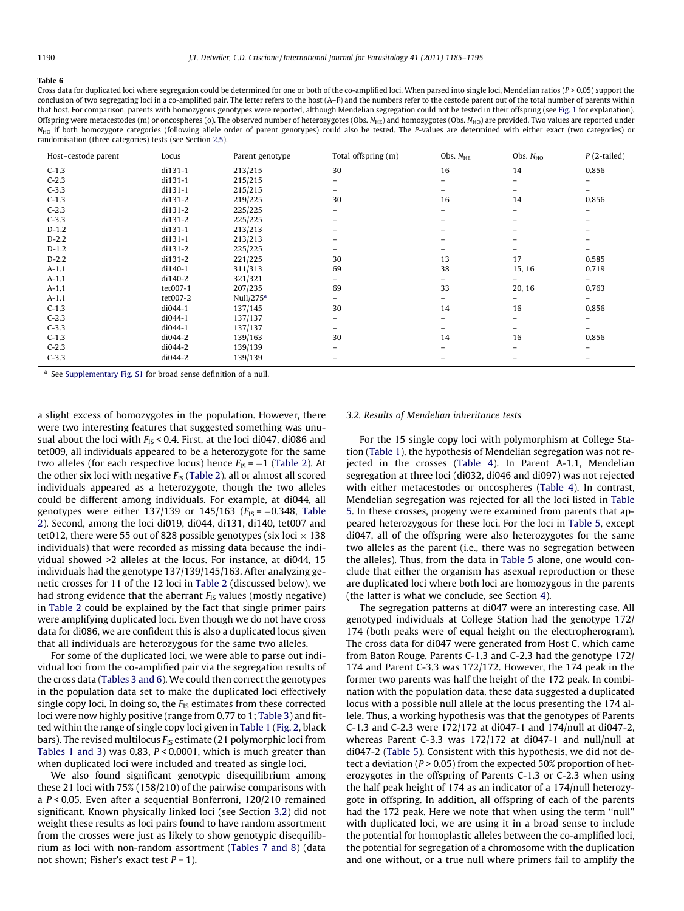<span id="page-5-0"></span>Cross data for duplicated loci where segregation could be determined for one or both of the co-amplified loci. When parsed into single loci, Mendelian ratios ( $P > 0.05$ ) support the conclusion of two segregating loci in a co-amplified pair. The letter refers to the host (A–F) and the numbers refer to the cestode parent out of the total number of parents within that host. For comparison, parents with homozygous genotypes were reported, although Mendelian segregation could not be tested in their offspring (see [Fig. 1](#page-6-0) for explanation). Offspring were metacestodes (m) or oncospheres (o). The observed number of heterozygotes (Obs.  $N_{HE}$ ) and homozygotes (Obs.  $N_{HO}$ ) are provided. Two values are reported under  $N_{\text{HO}}$  if both homozygote categories (following allele order of parent genotypes) could also be tested. The P-values are determined with either exact (two categories) or randomisation (three categories) tests (see Section [2.5\)](#page-2-0).

| Host-cestode parent | Locus     | Parent genotype | Total offspring (m) | Obs. $N_{\text{HE}}$ | Obs. $N_{\text{HO}}$ | $P(2$ -tailed) |
|---------------------|-----------|-----------------|---------------------|----------------------|----------------------|----------------|
| $C-1.3$             | di131-1   | 213/215         | 30                  | 16                   | 14                   | 0.856          |
| $C-2.3$             | $di131-1$ | 215/215         | -                   | -                    | -                    |                |
| $C-3.3$             | di131-1   | 215/215         | -                   |                      |                      |                |
| $C-1.3$             | di131-2   | 219/225         | 30                  | 16                   | 14                   | 0.856          |
| $C-2.3$             | di131-2   | 225/225         | -                   | -                    | $\equiv$             | -              |
| $C-3.3$             | di131-2   | 225/225         | -                   |                      |                      | -              |
| $D-1.2$             | di131-1   | 213/213         | -                   |                      |                      |                |
| $D-2.2$             | di131-1   | 213/213         |                     |                      |                      |                |
| $D-1.2$             | di131-2   | 225/225         |                     |                      |                      |                |
| $D-2.2$             | di131-2   | 221/225         | 30                  | 13                   | 17                   | 0.585          |
| $A-1.1$             | di140-1   | 311/313         | 69                  | 38                   | 15, 16               | 0.719          |
| $A-1.1$             | di140-2   | 321/321         | Ξ.                  |                      |                      |                |
| $A-1.1$             | tet007-1  | 207/235         | 69                  | 33                   | 20, 16               | 0.763          |
| $A-1.1$             | tet007-2  | Null/275 $a$    | $\equiv$            |                      | $-$                  | Ξ.             |
| $C-1.3$             | $di044-1$ | 137/145         | 30                  | 14                   | 16                   | 0.856          |
| $C-2.3$             | di044-1   | 137/137         | $\equiv$            |                      | $-$                  | -              |
| $C-3.3$             | di044-1   | 137/137         | $-$                 |                      | $-$                  | -              |
| $C-1.3$             | $di044-2$ | 139/163         | 30                  | 14                   | 16                   | 0.856          |
| $C-2.3$             | di044-2   | 139/139         | Ξ.                  |                      | -                    | -              |
| $C-3.3$             | di044-2   | 139/139         | -                   |                      |                      |                |

<sup>a</sup> See Supplementary Fig. S1 for broad sense definition of a null.

a slight excess of homozygotes in the population. However, there were two interesting features that suggested something was unusual about the loci with  $F_{1S}$  < 0.4. First, at the loci di047, di086 and tet009, all individuals appeared to be a heterozygote for the same two alleles (for each respective locus) hence  $F_{\rm IS}$  =  $-1$  ([Table 2\)](#page-2-0). At the other six loci with negative  $F_{IS}$  [\(Table 2](#page-2-0)), all or almost all scored individuals appeared as a heterozygote, though the two alleles could be different among individuals. For example, at di044, all genotypes were either 137/139 or 145/163 ( $F_\mathrm{IS}$ = $-0.348$ , [Table](#page-2-0) [2](#page-2-0)). Second, among the loci di019, di044, di131, di140, tet007 and tet012, there were 55 out of 828 possible genotypes (six loci  $\times$  138 individuals) that were recorded as missing data because the individual showed >2 alleles at the locus. For instance, at di044, 15 individuals had the genotype 137/139/145/163. After analyzing genetic crosses for 11 of the 12 loci in [Table 2](#page-2-0) (discussed below), we had strong evidence that the aberrant  $F_{IS}$  values (mostly negative) in [Table 2](#page-2-0) could be explained by the fact that single primer pairs were amplifying duplicated loci. Even though we do not have cross data for di086, we are confident this is also a duplicated locus given that all individuals are heterozygous for the same two alleles.

For some of the duplicated loci, we were able to parse out individual loci from the co-amplified pair via the segregation results of the cross data ([Tables 3 and 6](#page-3-0)). We could then correct the genotypes in the population data set to make the duplicated loci effectively single copy loci. In doing so, the  $F_{IS}$  estimates from these corrected loci were now highly positive (range from 0.77 to 1; [Table 3](#page-3-0)) and fitted within the range of single copy loci given in [Table 1](#page-2-0) ([Fig. 2](#page-6-0), black bars). The revised multilocus  $F_{IS}$  estimate (21 polymorphic loci from [Tables 1 and 3](#page-2-0)) was 0.83,  $P < 0.0001$ , which is much greater than when duplicated loci were included and treated as single loci.

We also found significant genotypic disequilibrium among these 21 loci with 75% (158/210) of the pairwise comparisons with a  $P < 0.05$ . Even after a sequential Bonferroni, 120/210 remained significant. Known physically linked loci (see Section 3.2) did not weight these results as loci pairs found to have random assortment from the crosses were just as likely to show genotypic disequilibrium as loci with non-random assortment [\(Tables 7 and 8](#page-7-0)) (data not shown; Fisher's exact test  $P = 1$ ).

#### 3.2. Results of Mendelian inheritance tests

For the 15 single copy loci with polymorphism at College Station ([Table 1](#page-2-0)), the hypothesis of Mendelian segregation was not rejected in the crosses [\(Table 4\)](#page-3-0). In Parent A-1.1, Mendelian segregation at three loci (di032, di046 and di097) was not rejected with either metacestodes or oncospheres ([Table 4\)](#page-3-0). In contrast, Mendelian segregation was rejected for all the loci listed in [Table](#page-4-0) [5](#page-4-0). In these crosses, progeny were examined from parents that appeared heterozygous for these loci. For the loci in [Table 5](#page-4-0), except di047, all of the offspring were also heterozygotes for the same two alleles as the parent (i.e., there was no segregation between the alleles). Thus, from the data in [Table 5](#page-4-0) alone, one would conclude that either the organism has asexual reproduction or these are duplicated loci where both loci are homozygous in the parents (the latter is what we conclude, see Section [4](#page-6-0)).

The segregation patterns at di047 were an interesting case. All genotyped individuals at College Station had the genotype 172/ 174 (both peaks were of equal height on the electropherogram). The cross data for di047 were generated from Host C, which came from Baton Rouge. Parents C-1.3 and C-2.3 had the genotype 172/ 174 and Parent C-3.3 was 172/172. However, the 174 peak in the former two parents was half the height of the 172 peak. In combination with the population data, these data suggested a duplicated locus with a possible null allele at the locus presenting the 174 allele. Thus, a working hypothesis was that the genotypes of Parents C-1.3 and C-2.3 were 172/172 at di047-1 and 174/null at di047-2, whereas Parent C-3.3 was 172/172 at di047-1 and null/null at di047-2 ([Table 5\)](#page-4-0). Consistent with this hypothesis, we did not detect a deviation ( $P > 0.05$ ) from the expected 50% proportion of heterozygotes in the offspring of Parents C-1.3 or C-2.3 when using the half peak height of 174 as an indicator of a 174/null heterozygote in offspring. In addition, all offspring of each of the parents had the 172 peak. Here we note that when using the term ''null'' with duplicated loci, we are using it in a broad sense to include the potential for homoplastic alleles between the co-amplified loci, the potential for segregation of a chromosome with the duplication and one without, or a true null where primers fail to amplify the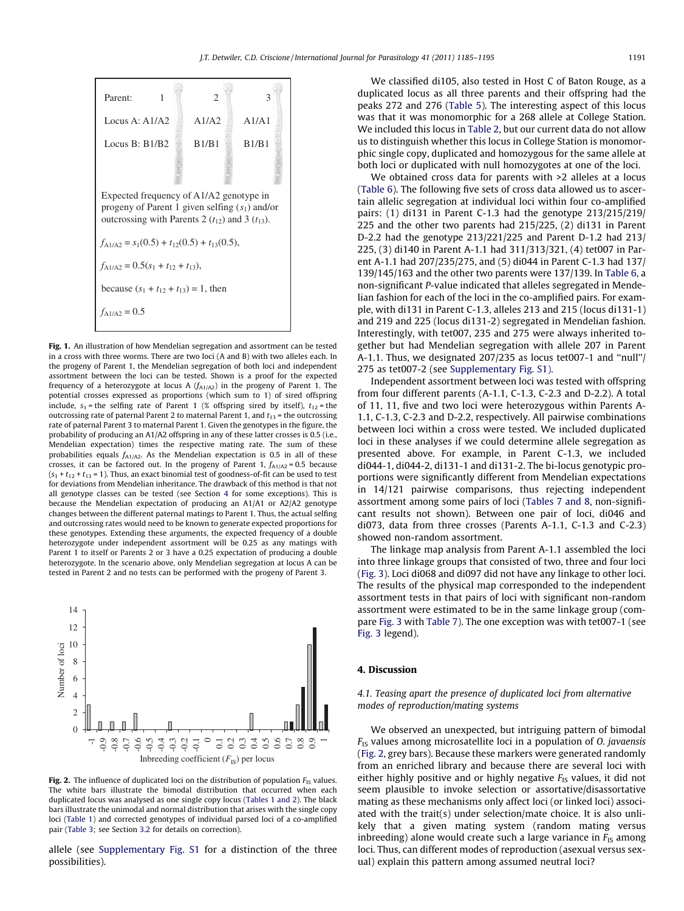<span id="page-6-0"></span>

Fig. 1. An illustration of how Mendelian segregation and assortment can be tested in a cross with three worms. There are two loci (A and B) with two alleles each. In the progeny of Parent 1, the Mendelian segregation of both loci and independent assortment between the loci can be tested. Shown is a proof for the expected frequency of a heterozygote at locus A  $(f_{A1/A2})$  in the progeny of Parent 1. The potential crosses expressed as proportions (which sum to 1) of sired offspring include,  $s_1$  = the selfing rate of Parent 1 (% offspring sired by itself),  $t_{12}$  = the outcrossing rate of paternal Parent 2 to maternal Parent 1, and  $t_{13}$  = the outcrossing rate of paternal Parent 3 to maternal Parent 1. Given the genotypes in the figure, the probability of producing an A1/A2 offspring in any of these latter crosses is 0.5 (i.e., Mendelian expectation) times the respective mating rate. The sum of these probabilities equals  $f_{A1/A2}$ . As the Mendelian expectation is 0.5 in all of these crosses, it can be factored out. In the progeny of Parent 1,  $f_{A1/A2} = 0.5$  because  $(s_1 + t_{12} + t_{13} = 1)$ . Thus, an exact binomial test of goodness-of-fit can be used to test for deviations from Mendelian inheritance. The drawback of this method is that not all genotype classes can be tested (see Section 4 for some exceptions). This is because the Mendelian expectation of producing an A1/A1 or A2/A2 genotype changes between the different paternal matings to Parent 1. Thus, the actual selfing and outcrossing rates would need to be known to generate expected proportions for these genotypes. Extending these arguments, the expected frequency of a double heterozygote under independent assortment will be 0.25 as any matings with Parent 1 to itself or Parents 2 or 3 have a 0.25 expectation of producing a double heterozygote. In the scenario above, only Mendelian segregation at locus A can be tested in Parent 2 and no tests can be performed with the progeny of Parent 3.



Fig. 2. The influence of duplicated loci on the distribution of population  $F_{1S}$  values. The white bars illustrate the bimodal distribution that occurred when each duplicated locus was analysed as one single copy locus [\(Tables 1 and 2\)](#page-2-0). The black bars illustrate the unimodal and normal distribution that arises with the single copy loci [\(Table 1\)](#page-2-0) and corrected genotypes of individual parsed loci of a co-amplified pair [\(Table 3](#page-3-0); see Section [3.2](#page-5-0) for details on correction).

allele (see Supplementary Fig. S1 for a distinction of the three possibilities).

We classified di105, also tested in Host C of Baton Rouge, as a duplicated locus as all three parents and their offspring had the peaks 272 and 276 [\(Table 5](#page-4-0)). The interesting aspect of this locus was that it was monomorphic for a 268 allele at College Station. We included this locus in [Table 2,](#page-2-0) but our current data do not allow us to distinguish whether this locus in College Station is monomorphic single copy, duplicated and homozygous for the same allele at both loci or duplicated with null homozygotes at one of the loci.

We obtained cross data for parents with >2 alleles at a locus ([Table 6](#page-5-0)). The following five sets of cross data allowed us to ascertain allelic segregation at individual loci within four co-amplified pairs: (1) di131 in Parent C-1.3 had the genotype 213/215/219/ 225 and the other two parents had 215/225, (2) di131 in Parent D-2.2 had the genotype 213/221/225 and Parent D-1.2 had 213/ 225, (3) di140 in Parent A-1.1 had 311/313/321, (4) tet007 in Parent A-1.1 had 207/235/275, and (5) di044 in Parent C-1.3 had 137/ 139/145/163 and the other two parents were 137/139. In [Table 6](#page-5-0), a non-significant P-value indicated that alleles segregated in Mendelian fashion for each of the loci in the co-amplified pairs. For example, with di131 in Parent C-1.3, alleles 213 and 215 (locus di131-1) and 219 and 225 (locus di131-2) segregated in Mendelian fashion. Interestingly, with tet007, 235 and 275 were always inherited together but had Mendelian segregation with allele 207 in Parent A-1.1. Thus, we designated 207/235 as locus tet007-1 and ''null''/ 275 as tet007-2 (see Supplementary Fig. S1).

Independent assortment between loci was tested with offspring from four different parents (A-1.1, C-1.3, C-2.3 and D-2.2). A total of 11, 11, five and two loci were heterozygous within Parents A-1.1, C-1.3, C-2.3 and D-2.2, respectively. All pairwise combinations between loci within a cross were tested. We included duplicated loci in these analyses if we could determine allele segregation as presented above. For example, in Parent C-1.3, we included di044-1, di044-2, di131-1 and di131-2. The bi-locus genotypic proportions were significantly different from Mendelian expectations in 14/121 pairwise comparisons, thus rejecting independent assortment among some pairs of loci [\(Tables 7 and 8,](#page-7-0) non-significant results not shown). Between one pair of loci, di046 and di073, data from three crosses (Parents A-1.1, C-1.3 and C-2.3) showed non-random assortment.

The linkage map analysis from Parent A-1.1 assembled the loci into three linkage groups that consisted of two, three and four loci ([Fig. 3](#page-7-0)). Loci di068 and di097 did not have any linkage to other loci. The results of the physical map corresponded to the independent assortment tests in that pairs of loci with significant non-random assortment were estimated to be in the same linkage group (compare [Fig. 3](#page-7-0) with [Table 7\)](#page-7-0). The one exception was with tet007-1 (see [Fig. 3](#page-7-0) legend).

#### 4. Discussion

### 4.1. Teasing apart the presence of duplicated loci from alternative modes of reproduction/mating systems

We observed an unexpected, but intriguing pattern of bimodal  $F_{IS}$  values among microsatellite loci in a population of *O. javaensis* (Fig. 2, grey bars). Because these markers were generated randomly from an enriched library and because there are several loci with either highly positive and or highly negative  $F_{IS}$  values, it did not seem plausible to invoke selection or assortative/disassortative mating as these mechanisms only affect loci (or linked loci) associated with the trait(s) under selection/mate choice. It is also unlikely that a given mating system (random mating versus inbreeding) alone would create such a large variance in  $F_{1S}$  among loci. Thus, can different modes of reproduction (asexual versus sexual) explain this pattern among assumed neutral loci?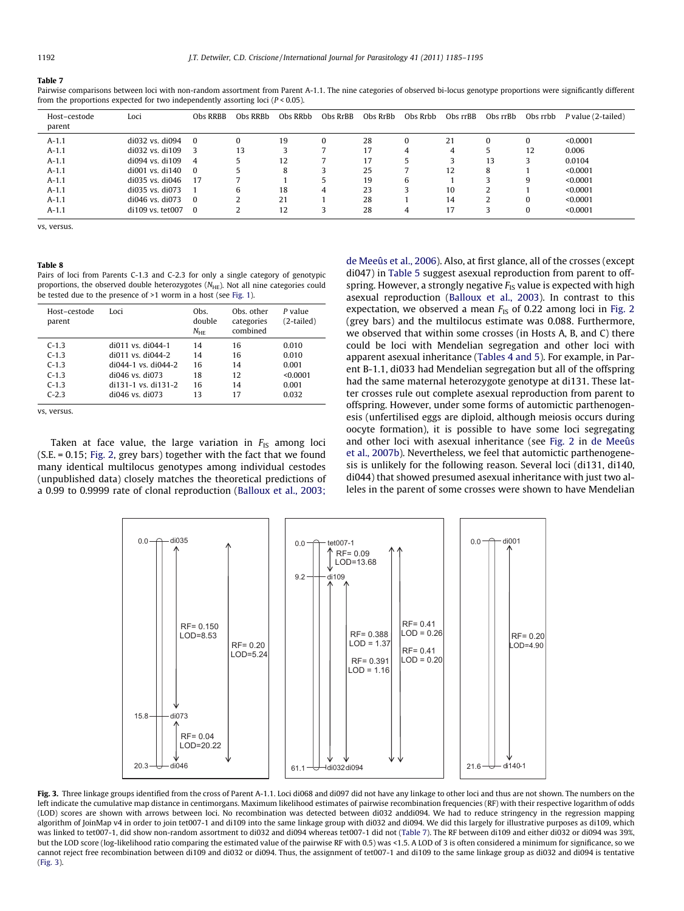<span id="page-7-0"></span>Pairwise comparisons between loci with non-random assortment from Parent A-1.1. The nine categories of observed bi-locus genotype proportions were significantly different from the proportions expected for two independently assorting loci  $(P < 0.05)$ .

| Host-cestode<br>parent | Loci                  | Obs RRBB       | Obs RRBb | Obs RRbb | Obs RrBB | Obs RrBb | Obs Rrbb | Obs rrBB | Obs rrBb | Obs rrbb | P value (2-tailed) |
|------------------------|-----------------------|----------------|----------|----------|----------|----------|----------|----------|----------|----------|--------------------|
| $A-1.1$                | di032 vs. di094       | $\overline{0}$ |          | 19       |          | 28       | 0        | 21       | 0        |          | < 0.0001           |
| $A-1.1$                | di032 vs. di109       | - 3            | 13       |          |          | 17       | 4        | 4        |          | 12       | 0.006              |
| $A-1.1$                | di094 vs. di109       | $\overline{4}$ |          | 12       |          | 17       | 5        | 3        | 13       |          | 0.0104             |
| $A-1.1$                | $di$ 001 vs. $di$ 140 | $\overline{0}$ |          | 8        |          | 25       |          | 12       | 8        |          | < 0.0001           |
| $A-1.1$                | di035 vs. di046       | 17             |          |          |          | 19       | 6        |          |          |          | < 0.0001           |
| $A-1.1$                | di035 vs. di073       |                |          | 18       | 4        | 23       |          | 10       | ∠        |          | < 0.0001           |
| $A-1.1$                | di046 vs. di073       | $\overline{0}$ |          | 21       |          | 28       |          | 14       |          |          | < 0.0001           |
| $A-1.1$                | di109 vs. tet007      | - 0            |          | 12       |          | 28       | 4        |          |          |          | < 0.0001           |

vs, versus.

#### Table 8

Pairs of loci from Parents C-1.3 and C-2.3 for only a single category of genotypic proportions, the observed double heterozygotes  $(N<sub>HE</sub>)$ . Not all nine categories could be tested due to the presence of >1 worm in a host (see [Fig. 1](#page-6-0)).

| Host-cestode<br>parent | Loci                    | Obs.<br>double<br>$N_{\rm HE}$ | Obs. other<br>categories<br>combined | P value<br>(2-tailed) |
|------------------------|-------------------------|--------------------------------|--------------------------------------|-----------------------|
| $C-1.3$                | $di011$ vs. $di044-1$   | 14                             | 16                                   | 0.010                 |
| $C-1.3$                | $di011$ vs $di044-2$    | 14                             | 16                                   | 0.010                 |
| $C-1.3$                | $di044-1$ vs. $di044-2$ | 16                             | 14                                   | 0.001                 |
| $C-1.3$                | $di046$ vs. $di073$     | 18                             | 12                                   | < 0.0001              |
| $C-1.3$                | di131-1 vs. di131-2     | 16                             | 14                                   | 0.001                 |
| $C-2.3$                | $di046$ vs. $di073$     | 13                             | 17                                   | 0.032                 |

vs, versus.

Taken at face value, the large variation in  $F_{IS}$  among loci (S.E. = 0.15; [Fig. 2](#page-6-0), grey bars) together with the fact that we found many identical multilocus genotypes among individual cestodes (unpublished data) closely matches the theoretical predictions of a 0.99 to 0.9999 rate of clonal reproduction [\(Balloux et al., 2003;](#page-10-0) [de Meeûs et al., 2006](#page-10-0)). Also, at first glance, all of the crosses (except di047) in [Table 5](#page-4-0) suggest asexual reproduction from parent to offspring. However, a strongly negative  $F_{IS}$  value is expected with high asexual reproduction [\(Balloux et al., 2003\)](#page-10-0). In contrast to this expectation, we observed a mean  $F_{1S}$  of 0.22 among loci in [Fig. 2](#page-6-0) (grey bars) and the multilocus estimate was 0.088. Furthermore, we observed that within some crosses (in Hosts A, B, and C) there could be loci with Mendelian segregation and other loci with apparent asexual inheritance [\(Tables 4 and 5](#page-3-0)). For example, in Parent B-1.1, di033 had Mendelian segregation but all of the offspring had the same maternal heterozygote genotype at di131. These latter crosses rule out complete asexual reproduction from parent to offspring. However, under some forms of automictic parthenogenesis (unfertilised eggs are diploid, although meiosis occurs during oocyte formation), it is possible to have some loci segregating and other loci with asexual inheritance (see [Fig. 2](#page-6-0) in [de Meeûs](#page-10-0) [et al., 2007b\)](#page-10-0). Nevertheless, we feel that automictic parthenogenesis is unlikely for the following reason. Several loci (di131, di140, di044) that showed presumed asexual inheritance with just two alleles in the parent of some crosses were shown to have Mendelian



Fig. 3. Three linkage groups identified from the cross of Parent A-1.1. Loci di068 and di097 did not have any linkage to other loci and thus are not shown. The numbers on the left indicate the cumulative map distance in centimorgans. Maximum likelihood estimates of pairwise recombination frequencies (RF) with their respective logarithm of odds (LOD) scores are shown with arrows between loci. No recombination was detected between di032 anddi094. We had to reduce stringency in the regression mapping algorithm of JoinMap v4 in order to join tet007-1 and di109 into the same linkage group with di032 and di094. We did this largely for illustrative purposes as di109, which was linked to tet007-1, did show non-random assortment to di032 and di094 whereas tet007-1 did not (Table 7). The RF between di109 and either di032 or di094 was 39%, but the LOD score (log-likelihood ratio comparing the estimated value of the pairwise RF with 0.5) was <1.5. A LOD of 3 is often considered a minimum for significance, so we cannot reject free recombination between di109 and di032 or di094. Thus, the assignment of tet007-1 and di109 to the same linkage group as di032 and di094 is tentative (Fig. 3).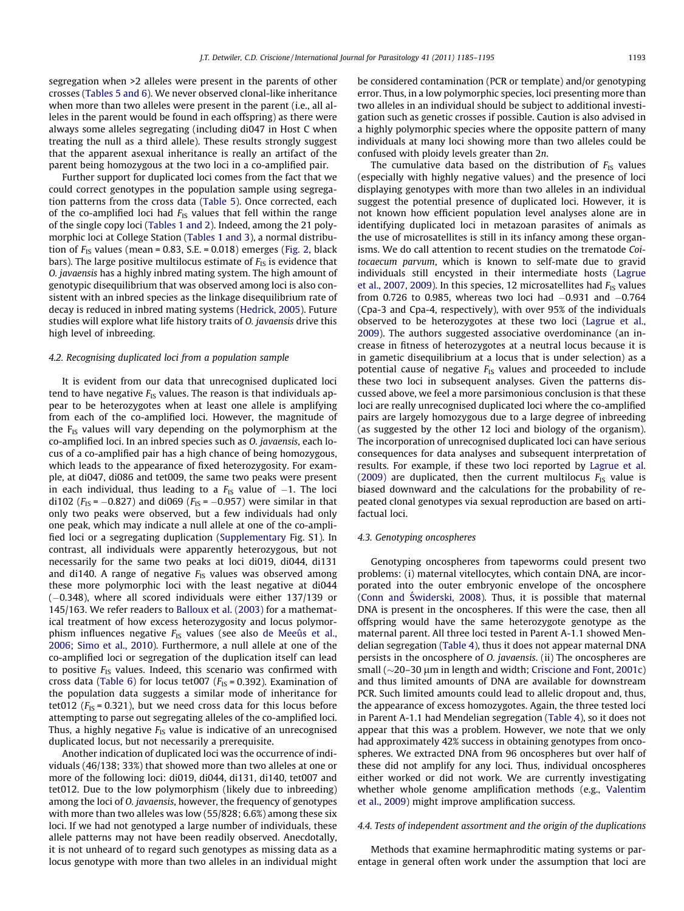segregation when >2 alleles were present in the parents of other crosses ([Tables 5 and 6](#page-4-0)). We never observed clonal-like inheritance when more than two alleles were present in the parent (i.e., all alleles in the parent would be found in each offspring) as there were always some alleles segregating (including di047 in Host C when treating the null as a third allele). These results strongly suggest that the apparent asexual inheritance is really an artifact of the parent being homozygous at the two loci in a co-amplified pair.

Further support for duplicated loci comes from the fact that we could correct genotypes in the population sample using segregation patterns from the cross data [\(Table 5](#page-4-0)). Once corrected, each of the co-amplified loci had  $F_{IS}$  values that fell within the range of the single copy loci [\(Tables 1 and 2](#page-2-0)). Indeed, among the 21 polymorphic loci at College Station [\(Tables 1 and 3\)](#page-2-0), a normal distribution of  $F_{IS}$  values (mean = 0.83, S.E. = 0.018) emerges [\(Fig. 2,](#page-6-0) black bars). The large positive multilocus estimate of  $F_{IS}$  is evidence that O. javaensis has a highly inbred mating system. The high amount of genotypic disequilibrium that was observed among loci is also consistent with an inbred species as the linkage disequilibrium rate of decay is reduced in inbred mating systems [\(Hedrick, 2005\)](#page-10-0). Future studies will explore what life history traits of O. javaensis drive this high level of inbreeding.

#### 4.2. Recognising duplicated loci from a population sample

It is evident from our data that unrecognised duplicated loci tend to have negative  $F_{1S}$  values. The reason is that individuals appear to be heterozygotes when at least one allele is amplifying from each of the co-amplified loci. However, the magnitude of the  $F_{IS}$  values will vary depending on the polymorphism at the co-amplified loci. In an inbred species such as O. javaensis, each locus of a co-amplified pair has a high chance of being homozygous, which leads to the appearance of fixed heterozygosity. For example, at di047, di086 and tet009, the same two peaks were present in each individual, thus leading to a  $F_\mathrm{IS}$  value of  $-1.$  The loci di102 ( $F_{\text{IS}}$  =  $-0.827$ ) and di069 ( $F_{\text{IS}}$  =  $-0.957$ ) were similar in that only two peaks were observed, but a few individuals had only one peak, which may indicate a null allele at one of the co-amplified loci or a segregating duplication (Supplementary Fig. S1). In contrast, all individuals were apparently heterozygous, but not necessarily for the same two peaks at loci di019, di044, di131 and di140. A range of negative  $F_{1S}$  values was observed among these more polymorphic loci with the least negative at di044 (-0.348), where all scored individuals were either 137/139 or 145/163. We refer readers to [Balloux et al. \(2003\)](#page-10-0) for a mathematical treatment of how excess heterozygosity and locus polymorphism influences negative  $F_{IS}$  values (see also [de Meeûs et al.,](#page-10-0) [2006; Simo et al., 2010](#page-10-0)). Furthermore, a null allele at one of the co-amplified loci or segregation of the duplication itself can lead to positive  $F_{1S}$  values. Indeed, this scenario was confirmed with cross data [\(Table 6\)](#page-5-0) for locus tet007 ( $F_{\text{IS}}$  = 0.392). Examination of the population data suggests a similar mode of inheritance for tet012 ( $F_{IS}$  = 0.321), but we need cross data for this locus before attempting to parse out segregating alleles of the co-amplified loci. Thus, a highly negative  $F_{IS}$  value is indicative of an unrecognised duplicated locus, but not necessarily a prerequisite.

Another indication of duplicated loci was the occurrence of individuals (46/138; 33%) that showed more than two alleles at one or more of the following loci: di019, di044, di131, di140, tet007 and tet012. Due to the low polymorphism (likely due to inbreeding) among the loci of O. javaensis, however, the frequency of genotypes with more than two alleles was low (55/828; 6.6%) among these six loci. If we had not genotyped a large number of individuals, these allele patterns may not have been readily observed. Anecdotally, it is not unheard of to regard such genotypes as missing data as a locus genotype with more than two alleles in an individual might be considered contamination (PCR or template) and/or genotyping error. Thus, in a low polymorphic species, loci presenting more than two alleles in an individual should be subject to additional investigation such as genetic crosses if possible. Caution is also advised in a highly polymorphic species where the opposite pattern of many individuals at many loci showing more than two alleles could be confused with ploidy levels greater than 2n.

The cumulative data based on the distribution of  $F_{IS}$  values (especially with highly negative values) and the presence of loci displaying genotypes with more than two alleles in an individual suggest the potential presence of duplicated loci. However, it is not known how efficient population level analyses alone are in identifying duplicated loci in metazoan parasites of animals as the use of microsatellites is still in its infancy among these organisms. We do call attention to recent studies on the trematode Coitocaecum parvum, which is known to self-mate due to gravid individuals still encysted in their intermediate hosts [\(Lagrue](#page-10-0) [et al., 2007, 2009](#page-10-0)). In this species, 12 microsatellites had  $F_{1S}$  values from 0.726 to 0.985, whereas two loci had -0.931 and -0.764 (Cpa-3 and Cpa-4, respectively), with over 95% of the individuals observed to be heterozygotes at these two loci [\(Lagrue et al.,](#page-10-0) [2009](#page-10-0)). The authors suggested associative overdominance (an increase in fitness of heterozygotes at a neutral locus because it is in gametic disequilibrium at a locus that is under selection) as a potential cause of negative  $F_{1S}$  values and proceeded to include these two loci in subsequent analyses. Given the patterns discussed above, we feel a more parsimonious conclusion is that these loci are really unrecognised duplicated loci where the co-amplified pairs are largely homozygous due to a large degree of inbreeding (as suggested by the other 12 loci and biology of the organism). The incorporation of unrecognised duplicated loci can have serious consequences for data analyses and subsequent interpretation of results. For example, if these two loci reported by [Lagrue et al.](#page-10-0) [\(2009\)](#page-10-0) are duplicated, then the current multilocus  $F_{IS}$  value is biased downward and the calculations for the probability of repeated clonal genotypes via sexual reproduction are based on artifactual loci.

#### 4.3. Genotyping oncospheres

Genotyping oncospheres from tapeworms could present two problems: (i) maternal vitellocytes, which contain DNA, are incorporated into the outer embryonic envelope of the oncosphere (Conn and Świderski, 2008). Thus, it is possible that maternal DNA is present in the oncospheres. If this were the case, then all offspring would have the same heterozygote genotype as the maternal parent. All three loci tested in Parent A-1.1 showed Mendelian segregation ([Table 4](#page-3-0)), thus it does not appear maternal DNA persists in the oncosphere of O. javaensis. (ii) The oncospheres are small ( $\sim$ 20–30 µm in length and width; [Criscione and Font, 2001c\)](#page-10-0) and thus limited amounts of DNA are available for downstream PCR. Such limited amounts could lead to allelic dropout and, thus, the appearance of excess homozygotes. Again, the three tested loci in Parent A-1.1 had Mendelian segregation ([Table 4](#page-3-0)), so it does not appear that this was a problem. However, we note that we only had approximately 42% success in obtaining genotypes from oncospheres. We extracted DNA from 96 oncospheres but over half of these did not amplify for any loci. Thus, individual oncospheres either worked or did not work. We are currently investigating whether whole genome amplification methods (e.g., [Valentim](#page-10-0) [et al., 2009\)](#page-10-0) might improve amplification success.

## 4.4. Tests of independent assortment and the origin of the duplications

Methods that examine hermaphroditic mating systems or parentage in general often work under the assumption that loci are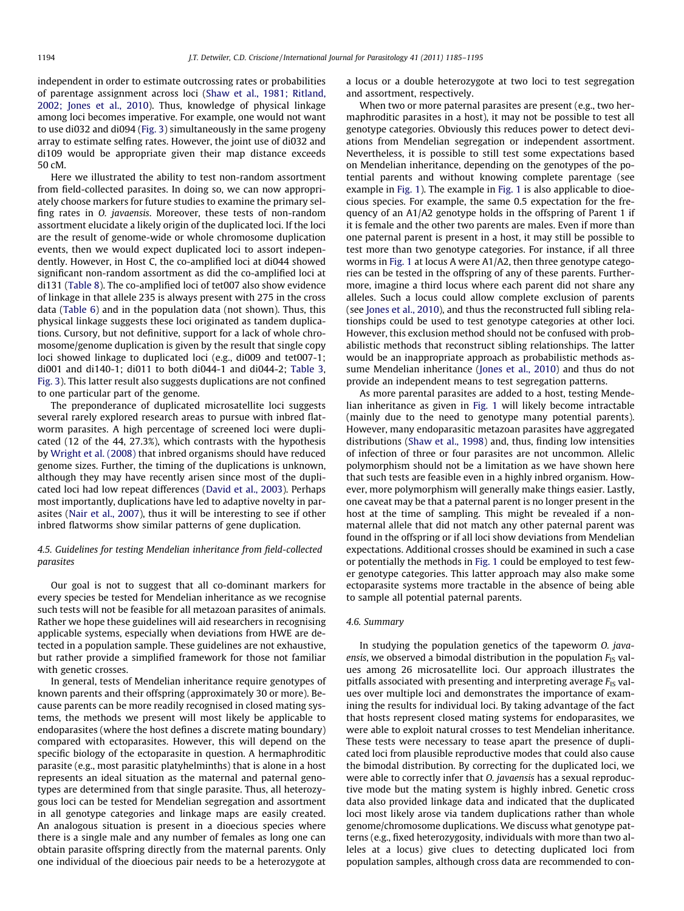independent in order to estimate outcrossing rates or probabilities of parentage assignment across loci ([Shaw et al., 1981; Ritland,](#page-10-0) [2002; Jones et al., 2010](#page-10-0)). Thus, knowledge of physical linkage among loci becomes imperative. For example, one would not want to use di032 and di094 [\(Fig. 3\)](#page-7-0) simultaneously in the same progeny array to estimate selfing rates. However, the joint use of di032 and di109 would be appropriate given their map distance exceeds 50 cM.

Here we illustrated the ability to test non-random assortment from field-collected parasites. In doing so, we can now appropriately choose markers for future studies to examine the primary selfing rates in O. javaensis. Moreover, these tests of non-random assortment elucidate a likely origin of the duplicated loci. If the loci are the result of genome-wide or whole chromosome duplication events, then we would expect duplicated loci to assort independently. However, in Host C, the co-amplified loci at di044 showed significant non-random assortment as did the co-amplified loci at di131 [\(Table 8\)](#page-7-0). The co-amplified loci of tet007 also show evidence of linkage in that allele 235 is always present with 275 in the cross data [\(Table 6](#page-5-0)) and in the population data (not shown). Thus, this physical linkage suggests these loci originated as tandem duplications. Cursory, but not definitive, support for a lack of whole chromosome/genome duplication is given by the result that single copy loci showed linkage to duplicated loci (e.g., di009 and tet007-1; di001 and di140-1; di011 to both di044-1 and di044-2; [Table 3,](#page-3-0) [Fig. 3](#page-7-0)). This latter result also suggests duplications are not confined to one particular part of the genome.

The preponderance of duplicated microsatellite loci suggests several rarely explored research areas to pursue with inbred flatworm parasites. A high percentage of screened loci were duplicated (12 of the 44, 27.3%), which contrasts with the hypothesis by [Wright et al. \(2008\)](#page-10-0) that inbred organisms should have reduced genome sizes. Further, the timing of the duplications is unknown, although they may have recently arisen since most of the duplicated loci had low repeat differences [\(David et al., 2003](#page-10-0)). Perhaps most importantly, duplications have led to adaptive novelty in parasites ([Nair et al., 2007](#page-10-0)), thus it will be interesting to see if other inbred flatworms show similar patterns of gene duplication.

## 4.5. Guidelines for testing Mendelian inheritance from field-collected parasites

Our goal is not to suggest that all co-dominant markers for every species be tested for Mendelian inheritance as we recognise such tests will not be feasible for all metazoan parasites of animals. Rather we hope these guidelines will aid researchers in recognising applicable systems, especially when deviations from HWE are detected in a population sample. These guidelines are not exhaustive, but rather provide a simplified framework for those not familiar with genetic crosses.

In general, tests of Mendelian inheritance require genotypes of known parents and their offspring (approximately 30 or more). Because parents can be more readily recognised in closed mating systems, the methods we present will most likely be applicable to endoparasites (where the host defines a discrete mating boundary) compared with ectoparasites. However, this will depend on the specific biology of the ectoparasite in question. A hermaphroditic parasite (e.g., most parasitic platyhelminths) that is alone in a host represents an ideal situation as the maternal and paternal genotypes are determined from that single parasite. Thus, all heterozygous loci can be tested for Mendelian segregation and assortment in all genotype categories and linkage maps are easily created. An analogous situation is present in a dioecious species where there is a single male and any number of females as long one can obtain parasite offspring directly from the maternal parents. Only one individual of the dioecious pair needs to be a heterozygote at a locus or a double heterozygote at two loci to test segregation and assortment, respectively.

When two or more paternal parasites are present (e.g., two hermaphroditic parasites in a host), it may not be possible to test all genotype categories. Obviously this reduces power to detect deviations from Mendelian segregation or independent assortment. Nevertheless, it is possible to still test some expectations based on Mendelian inheritance, depending on the genotypes of the potential parents and without knowing complete parentage (see example in [Fig. 1](#page-6-0)). The example in [Fig. 1](#page-6-0) is also applicable to dioecious species. For example, the same 0.5 expectation for the frequency of an A1/A2 genotype holds in the offspring of Parent 1 if it is female and the other two parents are males. Even if more than one paternal parent is present in a host, it may still be possible to test more than two genotype categories. For instance, if all three worms in [Fig. 1](#page-6-0) at locus A were A1/A2, then three genotype categories can be tested in the offspring of any of these parents. Furthermore, imagine a third locus where each parent did not share any alleles. Such a locus could allow complete exclusion of parents (see [Jones et al., 2010](#page-10-0)), and thus the reconstructed full sibling relationships could be used to test genotype categories at other loci. However, this exclusion method should not be confused with probabilistic methods that reconstruct sibling relationships. The latter would be an inappropriate approach as probabilistic methods assume Mendelian inheritance ([Jones et al., 2010](#page-10-0)) and thus do not provide an independent means to test segregation patterns.

As more parental parasites are added to a host, testing Mendelian inheritance as given in [Fig. 1](#page-6-0) will likely become intractable (mainly due to the need to genotype many potential parents). However, many endoparasitic metazoan parasites have aggregated distributions ([Shaw et al., 1998\)](#page-10-0) and, thus, finding low intensities of infection of three or four parasites are not uncommon. Allelic polymorphism should not be a limitation as we have shown here that such tests are feasible even in a highly inbred organism. However, more polymorphism will generally make things easier. Lastly, one caveat may be that a paternal parent is no longer present in the host at the time of sampling. This might be revealed if a nonmaternal allele that did not match any other paternal parent was found in the offspring or if all loci show deviations from Mendelian expectations. Additional crosses should be examined in such a case or potentially the methods in [Fig. 1](#page-6-0) could be employed to test fewer genotype categories. This latter approach may also make some ectoparasite systems more tractable in the absence of being able to sample all potential paternal parents.

#### 4.6. Summary

In studying the population genetics of the tapeworm O. javaensis, we observed a bimodal distribution in the population  $F_{IS}$  values among 26 microsatellite loci. Our approach illustrates the pitfalls associated with presenting and interpreting average  $F_{IS}$  values over multiple loci and demonstrates the importance of examining the results for individual loci. By taking advantage of the fact that hosts represent closed mating systems for endoparasites, we were able to exploit natural crosses to test Mendelian inheritance. These tests were necessary to tease apart the presence of duplicated loci from plausible reproductive modes that could also cause the bimodal distribution. By correcting for the duplicated loci, we were able to correctly infer that O. javaensis has a sexual reproductive mode but the mating system is highly inbred. Genetic cross data also provided linkage data and indicated that the duplicated loci most likely arose via tandem duplications rather than whole genome/chromosome duplications. We discuss what genotype patterns (e.g., fixed heterozygosity, individuals with more than two alleles at a locus) give clues to detecting duplicated loci from population samples, although cross data are recommended to con-